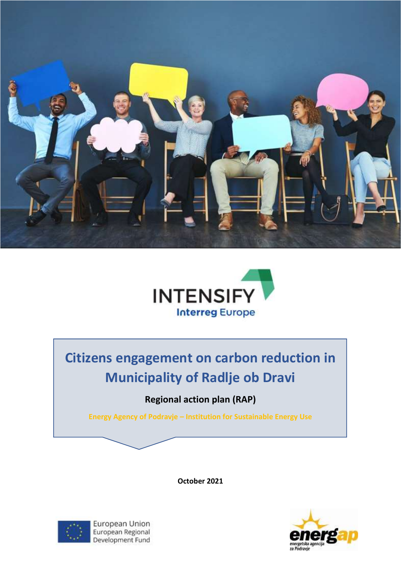



# **Citizens engagement on carbon reduction in Municipality of Radlje ob Dravi**

# **Regional action plan (RAP)**

**Energy Agency of Podravje – Institution for Sustainable Energy Use**

**October 2021**



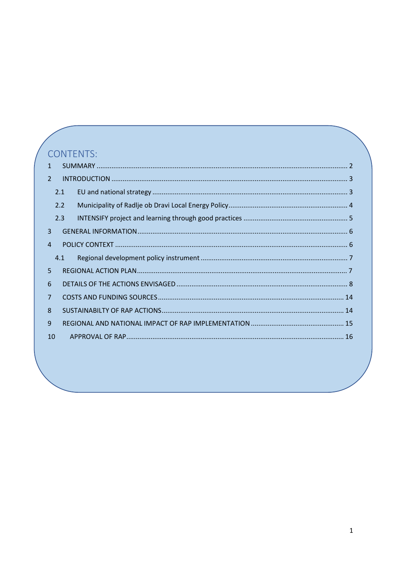# CONTENTS:

| $\mathcal{P}$  |     |  |
|----------------|-----|--|
|                | 2.1 |  |
|                | 2.2 |  |
|                | 2.3 |  |
| 3              |     |  |
| 4              |     |  |
|                | 4.1 |  |
| 5.             |     |  |
| 6              |     |  |
|                |     |  |
| $\overline{7}$ |     |  |
| 8              |     |  |
| 9              |     |  |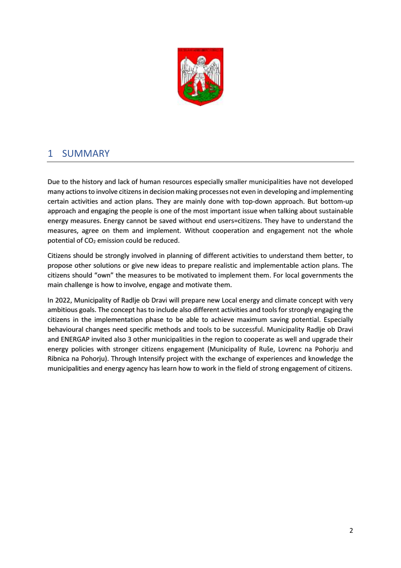

## <span id="page-2-0"></span>1 SUMMARY

Due to the history and lack of human resources especially smaller municipalities have not developed many actions to involve citizens in decision making processes not even in developing and implementing certain activities and action plans. They are mainly done with top-down approach. But bottom-up approach and engaging the people is one of the most important issue when talking about sustainable energy measures. Energy cannot be saved without end users=citizens. They have to understand the measures, agree on them and implement. Without cooperation and engagement not the whole potential of  $CO<sub>2</sub>$  emission could be reduced.

Citizens should be strongly involved in planning of different activities to understand them better, to propose other solutions or give new ideas to prepare realistic and implementable action plans. The citizens should "own" the measures to be motivated to implement them. For local governments the main challenge is how to involve, engage and motivate them.

In 2022, Municipality of Radlje ob Dravi will prepare new Local energy and climate concept with very ambitious goals. The concept has to include also different activities and tools for strongly engaging the citizens in the implementation phase to be able to achieve maximum saving potential. Especially behavioural changes need specific methods and tools to be successful. Municipality Radlje ob Dravi and ENERGAP invited also 3 other municipalities in the region to cooperate as well and upgrade their energy policies with stronger citizens engagement (Municipality of Ruše, Lovrenc na Pohorju and Ribnica na Pohorju). Through Intensify project with the exchange of experiences and knowledge the municipalities and energy agency has learn how to work in the field of strong engagement of citizens.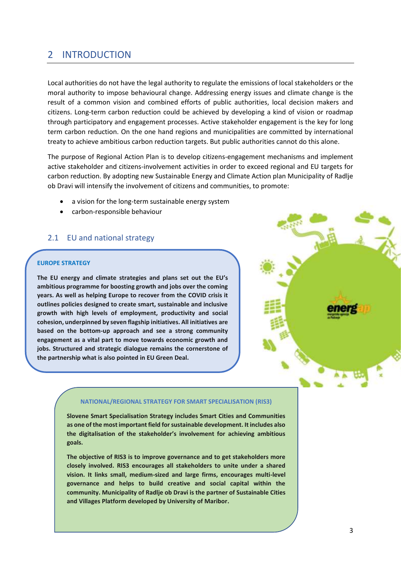## <span id="page-3-0"></span>2 INTRODUCTION

Local authorities do not have the legal authority to regulate the emissions of local stakeholders or the moral authority to impose behavioural change. Addressing energy issues and climate change is the result of a common vision and combined efforts of public authorities, local decision makers and citizens. Long-term carbon reduction could be achieved by developing a kind of vision or roadmap through participatory and engagement processes. Active stakeholder engagement is the key for long term carbon reduction. On the one hand regions and municipalities are committed by international treaty to achieve ambitious carbon reduction targets. But public authorities cannot do this alone.

The purpose of Regional Action Plan is to develop citizens-engagement mechanisms and implement active stakeholder and citizens-involvement activities in order to exceed regional and EU targets for carbon reduction. By adopting new Sustainable Energy and Climate Action plan Municipality of Radlje ob Dravi will intensify the involvement of citizens and communities, to promote:

- a vision for the long-term sustainable energy system
- carbon-responsible behaviour

### <span id="page-3-1"></span>2.1 EU and national strategy

#### **EUROPE STRATEGY**

**The EU energy and climate strategies and plans set out the EU's ambitious programme for boosting growth and jobs over the coming years. As well as helping Europe to recover from the COVID crisis it outlines policies designed to create smart, sustainable and inclusive growth with high levels of employment, productivity and social cohesion, underpinned by seven flagship initiatives. All initiatives are based on the bottom-up approach and see a strong community engagement as a vital part to move towards economic growth and jobs. Structured and strategic dialogue remains the cornerstone of the partnership what is also pointed in EU Green Deal.**



#### **NATIONAL/REGIONAL STRATEGY FOR SMART SPECIALISATION (RIS3)**

**Slovene Smart Specialisation Strategy includes Smart Cities and Communities as one of the most important field for sustainable development. It includes also the digitalisation of the stakeholder's involvement for achieving ambitious goals.** 

**The objective of RIS3 is to improve governance and to get stakeholders more closely involved. RIS3 encourages all stakeholders to unite under a shared vision. It links small, medium-sized and large firms, encourages multi-level governance and helps to build creative and social capital within the community. Municipality of Radlje ob Dravi is the partner of Sustainable Cities and Villages Platform developed by University of Maribor.**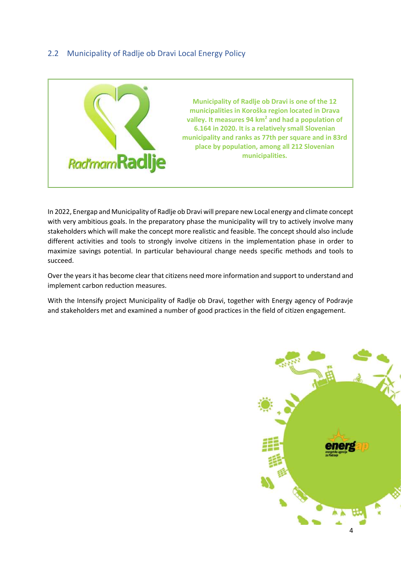### <span id="page-4-0"></span>2.2 Municipality of Radlje ob Dravi Local Energy Policy



In 2022, Energap and Municipality of Radlje ob Dravi will prepare new Local energy and climate concept with very ambitious goals. In the preparatory phase the municipality will try to actively involve many stakeholders which will make the concept more realistic and feasible. The concept should also include different activities and tools to strongly involve citizens in the implementation phase in order to maximize savings potential. In particular behavioural change needs specific methods and tools to succeed.

Over the years it has become clear that citizens need more information and support to understand and implement carbon reduction measures.

With the Intensify project Municipality of Radlje ob Dravi, together with Energy agency of Podravje and stakeholders met and examined a number of good practices in the field of citizen engagement.

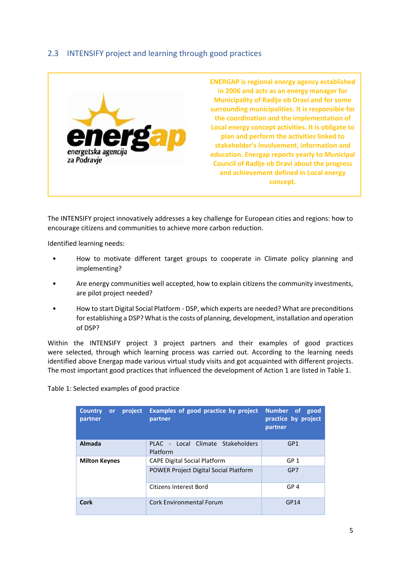### <span id="page-5-0"></span>2.3 INTENSIFY project and learning through good practices



The INTENSIFY project innovatively addresses a key challenge for European cities and regions: how to encourage citizens and communities to achieve more carbon reduction.

Identified learning needs:

- How to motivate different target groups to cooperate in Climate policy planning and implementing?
- Are energy communities well accepted, how to explain citizens the community investments, are pilot project needed?
- How to start Digital Social Platform DSP, which experts are needed? What are preconditions for establishing a DSP? What is the costs of planning, development, installation and operation of DSP?

Within the INTENSIFY project 3 project partners and their examples of good practices were selected, through which learning process was carried out. According to the learning needs identified above Energap made various virtual study visits and got acquainted with different projects. The most important good practices that influenced the development of Action 1 are listed in Table 1.

Table 1: Selected examples of good practice

| project<br><b>Country</b><br><b>or</b><br>partner | Examples of good practice by project<br>partner | Number of<br>good<br>practice by project<br>partner |
|---------------------------------------------------|-------------------------------------------------|-----------------------------------------------------|
| <b>Almada</b>                                     | PLAC - Local Climate Stakeholders<br>Platform   | GP <sub>1</sub>                                     |
| <b>Milton Keynes</b>                              | <b>CAPE Digital Social Platform</b>             | GP <sub>1</sub>                                     |
|                                                   | <b>POWER Project Digital Social Platform</b>    | GP7                                                 |
|                                                   | Citizens Interest Bord                          | GP <sub>4</sub>                                     |
| <b>Cork</b>                                       | Cork Environmental Forum                        | GP14                                                |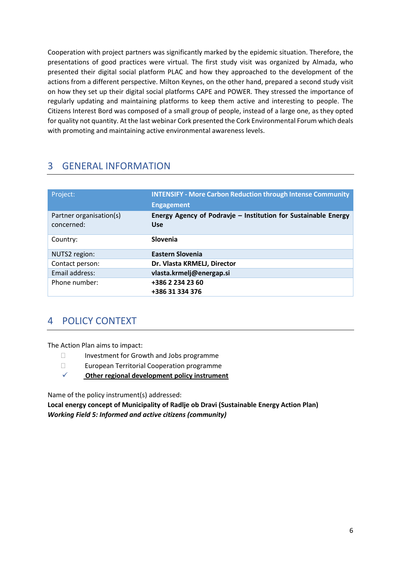Cooperation with project partners was significantly marked by the epidemic situation. Therefore, the presentations of good practices were virtual. The first study visit was organized by Almada, who presented their digital social platform PLAC and how they approached to the development of the actions from a different perspective. Milton Keynes, on the other hand, prepared a second study visit on how they set up their digital social platforms CAPE and POWER. They stressed the importance of regularly updating and maintaining platforms to keep them active and interesting to people. The Citizens Interest Bord was composed of a small group of people, instead of a large one, as they opted for quality not quantity. At the last webinar Cork presented the Cork Environmental Forum which deals with promoting and maintaining active environmental awareness levels.

# <span id="page-6-0"></span>3 GENERAL INFORMATION

| Project:                              | <b>INTENSIFY - More Carbon Reduction through Intense Community</b><br><b>Engagement</b> |  |
|---------------------------------------|-----------------------------------------------------------------------------------------|--|
| Partner organisation(s)<br>concerned: | Energy Agency of Podravje - Institution for Sustainable Energy<br><b>Use</b>            |  |
| Country:                              | Slovenia                                                                                |  |
| NUTS2 region:                         | Eastern Slovenia                                                                        |  |
| Contact person:                       | Dr. Vlasta KRMELJ, Director                                                             |  |
| Email address:                        | vlasta.krmelj@energap.si                                                                |  |
| Phone number:                         | +386 2 234 23 60<br>+386 31 334 376                                                     |  |

# <span id="page-6-1"></span>4 POLICY CONTEXT

The Action Plan aims to impact:

- Investment for Growth and Jobs programme
- European Territorial Cooperation programme
- ✓ **Other regional development policy instrument**

Name of the policy instrument(s) addressed:

**Local energy concept of Municipality of Radlje ob Dravi (Sustainable Energy Action Plan)** *Working Field 5: Informed and active citizens (community)*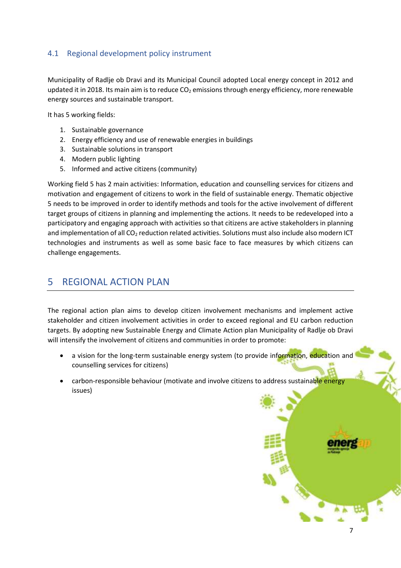### <span id="page-7-0"></span>4.1 Regional development policy instrument

Municipality of Radlje ob Dravi and its Municipal Council adopted Local energy concept in 2012 and updated it in 2018. Its main aim is to reduce  $CO<sub>2</sub>$  emissions through energy efficiency, more renewable energy sources and sustainable transport.

It has 5 working fields:

- 1. Sustainable governance
- 2. Energy efficiency and use of renewable energies in buildings
- 3. Sustainable solutions in transport
- 4. Modern public lighting
- 5. Informed and active citizens (community)

Working field 5 has 2 main activities: Information, education and counselling services for citizens and motivation and engagement of citizens to work in the field of sustainable energy. Thematic objective 5 needs to be improved in order to identify methods and tools for the active involvement of different target groups of citizens in planning and implementing the actions. It needs to be redeveloped into a participatory and engaging approach with activities so that citizens are active stakeholders in planning and implementation of all CO<sub>2</sub> reduction related activities. Solutions must also include also modern ICT technologies and instruments as well as some basic face to face measures by which citizens can challenge engagements.

# <span id="page-7-1"></span>5 REGIONAL ACTION PLAN

The regional action plan aims to develop citizen involvement mechanisms and implement active stakeholder and citizen involvement activities in order to exceed regional and EU carbon reduction targets. By adopting new Sustainable Energy and Climate Action plan Municipality of Radlje ob Dravi will intensify the involvement of citizens and communities in order to promote:

• a vision for the long-term sustainable energy system (to provide information, education and counselling services for citizens)

7

• carbon-responsible behaviour (motivate and involve citizens to address sustainable energy issues)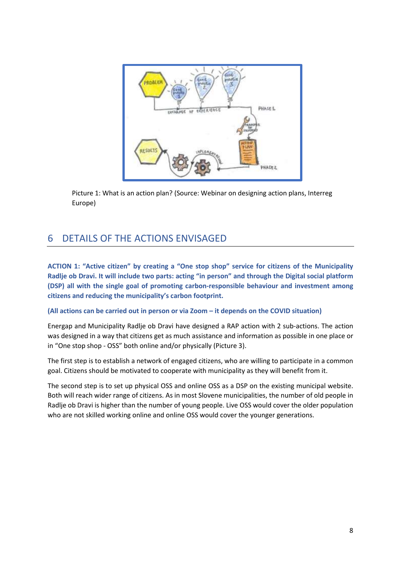

Picture 1: What is an action plan? (Source: Webinar on designing action plans, Interreg Europe)

# <span id="page-8-0"></span>6 DETAILS OF THE ACTIONS ENVISAGED

**ACTION 1: "Active citizen" by creating a "One stop shop" service for citizens of the Municipality Radlje ob Dravi. It will include two parts: acting "in person" and through the Digital social platform (DSP) all with the single goal of promoting carbon-responsible behaviour and investment among citizens and reducing the municipality's carbon footprint.**

### **(All actions can be carried out in person or via Zoom – it depends on the COVID situation)**

Energap and Municipality Radlje ob Dravi have designed a RAP action with 2 sub-actions. The action was designed in a way that citizens get as much assistance and information as possible in one place or in "One stop shop - OSS" both online and/or physically (Picture 3).

The first step is to establish a network of engaged citizens, who are willing to participate in a common goal. Citizens should be motivated to cooperate with municipality as they will benefit from it.

The second step is to set up physical OSS and online OSS as a DSP on the existing municipal website. Both will reach wider range of citizens. As in most Slovene municipalities, the number of old people in Radlje ob Dravi is higher than the number of young people. Live OSS would cover the older population who are not skilled working online and online OSS would cover the younger generations.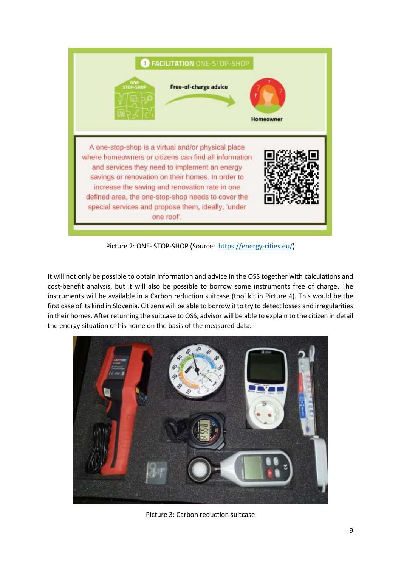

Picture 2: ONE- STOP-SHOP (Source: [https://energy-cities.eu/\)](https://energy-cities.eu/)

It will not only be possible to obtain information and advice in the OSS together with calculations and cost-benefit analysis, but it will also be possible to borrow some instruments free of charge. The instruments will be available in a Carbon reduction suitcase (tool kit in Picture 4). This would be the first case of its kind in Slovenia. Citizens will be able to borrow it to try to detect losses and irregularities in their homes. After returning the suitcase to OSS, advisor will be able to explain to the citizen in detail the energy situation of his home on the basis of the measured data.



Picture 3: Carbon reduction suitcase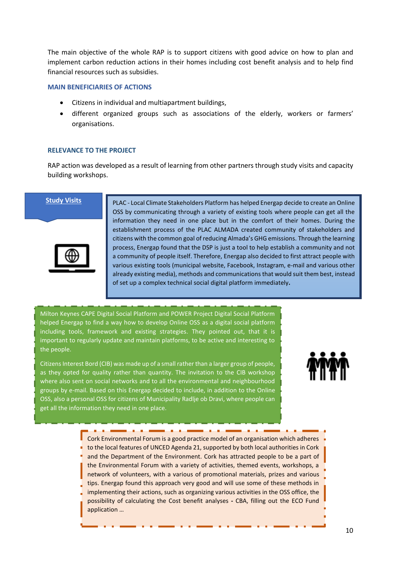The main objective of the whole RAP is to support citizens with good advice on how to plan and implement carbon reduction actions in their homes including cost benefit analysis and to help find financial resources such as subsidies.

#### **MAIN BENEFICIARIES OF ACTIONS**

- Citizens in individual and multiapartment buildings,
- different organized groups such as associations of the elderly, workers or farmers' organisations.

#### **RELEVANCE TO THE PROJECT**

RAP action was developed as a result of learning from other partners through study visits and capacity building workshops.

#### **Study Visits**



PLAC - Local Climate Stakeholders Platform has helped Energap decide to create an Online OSS by communicating through a variety of existing tools where people can get all the information they need in one place but in the comfort of their homes. During the establishment process of the PLAC ALMADA created community of stakeholders and citizens with the common goal of reducing Almada's GHG emissions. Through the learning process, Energap found that the DSP is just a tool to help establish a community and not a community of people itself. Therefore, Energap also decided to first attract people with various existing tools (municipal website, Facebook, Instagram, e-mail and various other already existing media), methods and communications that would suit them best, instead of set up a complex technical social digital platform immediately**.**

Milton Keynes CAPE Digital Social Platform and POWER Project Digital Social Platform helped Energap to find a way how to develop Online OSS as a digital social platform including tools, framework and existing strategies. They pointed out, that it is important to regularly update and maintain platforms, to be active and interesting to the people.

Citizens Interest Bord (CIB) was made up of a small rather than a larger group of people, as they opted for quality rather than quantity. The invitation to the CIB workshop where also sent on social networks and to all the environmental and neighbourhood groups by e-mail. Based on this Energap decided to include, in addition to the Online OSS, also a personal OSS for citizens of Municipality Radlje ob Dravi, where people can get all the information they need in one place.



Cork Environmental Forum is a good practice model of an organisation which adheres to the local features of UNCED Agenda 21, supported by both local authorities in Cork and the Department of the Environment. Cork has attracted people to be a part of the Environmental Forum with a variety of activities, themed events, workshops, a network of volunteers, with a various of promotional materials, prizes and various tips. Energap found this approach very good and will use some of these methods in implementing their actions, such as organizing various activities in the OSS office, the possibility of calculating the Cost benefit analyses **-** CBA, filling out the ECO Fund application …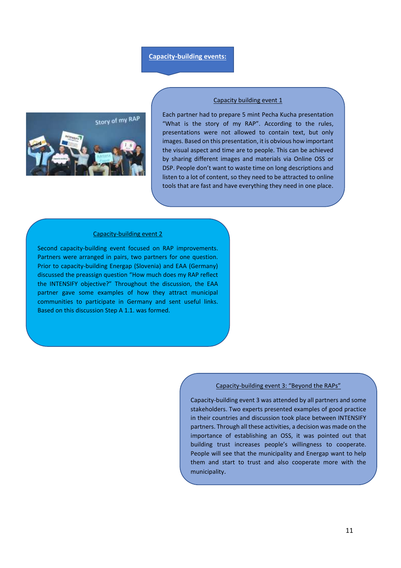#### **Capacity-building events:**



#### Capacity building event 1

Each partner had to prepare 5 mint Pecha Kucha presentation "What is the story of my RAP". According to the rules, presentations were not allowed to contain text, but only images. Based on this presentation, it is obvious how important the visual aspect and time are to people. This can be achieved by sharing different images and materials via Online OSS or DSP. People don't want to waste time on long descriptions and listen to a lot of content, so they need to be attracted to online tools that are fast and have everything they need in one place.

#### Capacity-building event 2

Second capacity-building event focused on RAP improvements. Partners were arranged in pairs, two partners for one question. Prior to capacity-building Energap (Slovenia) and EAA (Germany) discussed the preassign question "How much does my RAP reflect the INTENSIFY objective?" Throughout the discussion, the EAA partner gave some examples of how they attract municipal communities to participate in Germany and sent useful links. Based on this discussion Step A 1.1. was formed.

#### Capacity-building event 3: "Beyond the RAPs"

Capacity-building event 3 was attended by all partners and some stakeholders. Two experts presented examples of good practice in their countries and discussion took place between INTENSIFY partners. Through all these activities, a decision was made on the importance of establishing an OSS, it was pointed out that building trust increases people's willingness to cooperate. People will see that the municipality and Energap want to help them and start to trust and also cooperate more with the municipality.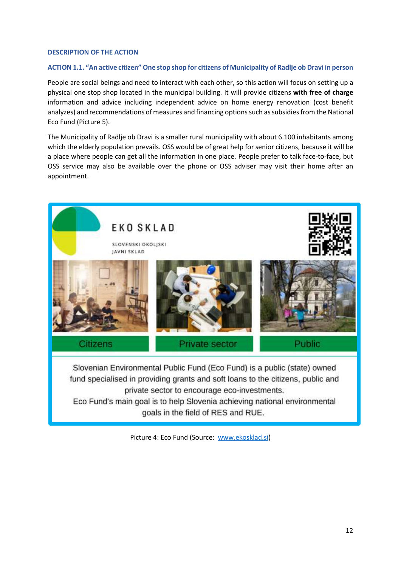### **DESCRIPTION OF THE ACTION**

### **ACTION 1.1. "An active citizen" One stop shop for citizens of Municipality of Radlje ob Dravi in person**

People are social beings and need to interact with each other, so this action will focus on setting up a physical one stop shop located in the municipal building. It will provide citizens **with free of charge**  information and advice including independent advice on home energy renovation (cost benefit analyzes) and recommendations of measures and financing optionssuch as subsidies from the National Eco Fund (Picture 5).

The Municipality of Radlje ob Dravi is a smaller rural municipality with about 6.100 inhabitants among which the elderly population prevails. OSS would be of great help for senior citizens, because it will be a place where people can get all the information in one place. People prefer to talk face-to-face, but OSS service may also be available over the phone or OSS adviser may visit their home after an appointment.



Picture 4: Eco Fund (Source: [www.ekosklad.si\)](http://www.ekosklad.si/)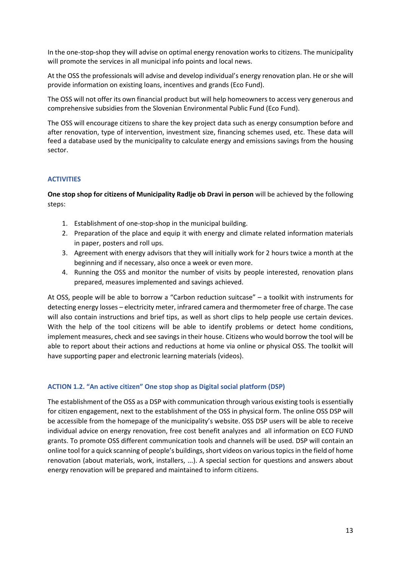In the one-stop-shop they will advise on optimal energy renovation works to citizens. The municipality will promote the services in all municipal info points and local news.

At the OSS the professionals will advise and develop individual's energy renovation plan. He or she will provide information on existing loans, incentives and grands (Eco Fund).

The OSS will not offer its own financial product but will help homeowners to access very generous and comprehensive subsidies from the Slovenian Environmental Public Fund (Eco Fund).

The OSS will encourage citizens to share the key project data such as energy consumption before and after renovation, type of intervention, investment size, financing schemes used, etc. These data will feed a database used by the municipality to calculate energy and emissions savings from the housing sector.

### **ACTIVITIES**

**One stop shop for citizens of Municipality Radlje ob Dravi in person** will be achieved by the following steps:

- 1. Establishment of one-stop-shop in the municipal building.
- 2. Preparation of the place and equip it with energy and climate related information materials in paper, posters and roll ups.
- 3. Agreement with energy advisors that they will initially work for 2 hours twice a month at the beginning and if necessary, also once a week or even more.
- 4. Running the OSS and monitor the number of visits by people interested, renovation plans prepared, measures implemented and savings achieved.

At OSS, people will be able to borrow a "Carbon reduction suitcase" – a toolkit with instruments for detecting energy losses – electricity meter, infrared camera and thermometer free of charge. The case will also contain instructions and brief tips, as well as short clips to help people use certain devices. With the help of the tool citizens will be able to identify problems or detect home conditions, implement measures, check and see savings in their house. Citizens who would borrow the tool will be able to report about their actions and reductions at home via online or physical OSS. The toolkit will have supporting paper and electronic learning materials (videos).

### **ACTION 1.2. "An active citizen" One stop shop as Digital social platform (DSP)**

The establishment of the OSS as a DSP with communication through various existing tools is essentially for citizen engagement, next to the establishment of the OSS in physical form. The online OSS DSP will be accessible from the homepage of the municipality's website. OSS DSP users will be able to receive individual advice on energy renovation, free cost benefit analyzes and all information on ECO FUND grants. To promote OSS different communication tools and channels will be used. DSP will contain an online tool for a quick scanning of people's buildings, short videos on various topics in the field of home renovation (about materials, work, installers, ...). A special section for questions and answers about energy renovation will be prepared and maintained to inform citizens.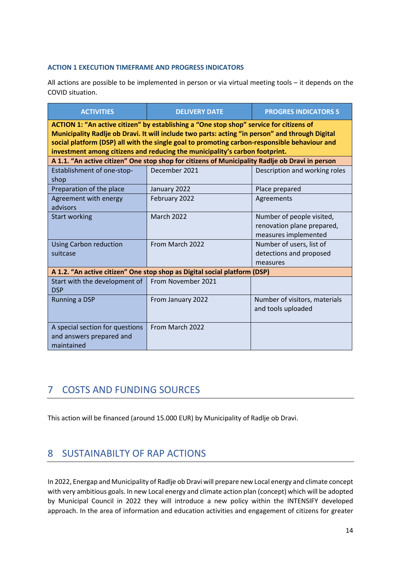### **ACTION 1 EXECUTION TIMEFRAME AND PROGRESS INDICATORS**

All actions are possible to be implemented in person or via virtual meeting tools – it depends on the COVID situation.

| <b>ACTIVITIES</b>                                                                                                                                                                                                                                                                                                                                                         | <b>DELIVERY DATE</b>                                                                            | <b>PROGRES INDICATORS S</b>                                                     |  |  |  |  |  |  |
|---------------------------------------------------------------------------------------------------------------------------------------------------------------------------------------------------------------------------------------------------------------------------------------------------------------------------------------------------------------------------|-------------------------------------------------------------------------------------------------|---------------------------------------------------------------------------------|--|--|--|--|--|--|
| ACTION 1: "An active citizen" by establishing a "One stop shop" service for citizens of<br>Municipality Radlje ob Dravi. It will include two parts: acting "in person" and through Digital<br>social platform (DSP) all with the single goal to promoting carbon-responsible behaviour and<br>investment among citizens and reducing the municipality's carbon footprint. |                                                                                                 |                                                                                 |  |  |  |  |  |  |
|                                                                                                                                                                                                                                                                                                                                                                           | A 1.1. "An active citizen" One stop shop for citizens of Municipality Radlje ob Dravi in person |                                                                                 |  |  |  |  |  |  |
| Establishment of one-stop-<br>shop                                                                                                                                                                                                                                                                                                                                        | December 2021                                                                                   | Description and working roles                                                   |  |  |  |  |  |  |
| Preparation of the place                                                                                                                                                                                                                                                                                                                                                  | January 2022                                                                                    | Place prepared                                                                  |  |  |  |  |  |  |
| Agreement with energy<br>advisors                                                                                                                                                                                                                                                                                                                                         | February 2022                                                                                   | Agreements                                                                      |  |  |  |  |  |  |
| <b>Start working</b>                                                                                                                                                                                                                                                                                                                                                      | <b>March 2022</b>                                                                               | Number of people visited,<br>renovation plane prepared,<br>measures implemented |  |  |  |  |  |  |
| <b>Using Carbon reduction</b><br>suitcase                                                                                                                                                                                                                                                                                                                                 | From March 2022                                                                                 | Number of users, list of<br>detections and proposed<br>measures                 |  |  |  |  |  |  |
|                                                                                                                                                                                                                                                                                                                                                                           | A 1.2. "An active citizen" One stop shop as Digital social platform (DSP)                       |                                                                                 |  |  |  |  |  |  |
| Start with the development of<br><b>DSP</b>                                                                                                                                                                                                                                                                                                                               | From November 2021                                                                              |                                                                                 |  |  |  |  |  |  |
| <b>Running a DSP</b>                                                                                                                                                                                                                                                                                                                                                      | From January 2022                                                                               | Number of visitors, materials<br>and tools uploaded                             |  |  |  |  |  |  |
| A special section for questions<br>and answers prepared and<br>maintained                                                                                                                                                                                                                                                                                                 | From March 2022                                                                                 |                                                                                 |  |  |  |  |  |  |

# <span id="page-14-0"></span>7 COSTS AND FUNDING SOURCES

This action will be financed (around 15.000 EUR) by Municipality of Radlje ob Dravi.

# <span id="page-14-1"></span>8 SUSTAINABILTY OF RAP ACTIONS

In 2022, Energap and Municipality of Radlje ob Dravi will prepare new Local energy and climate concept with very ambitious goals. In new Local energy and climate action plan (concept) which will be adopted by Municipal Council in 2022 they will introduce a new policy within the INTENSIFY developed approach. In the area of information and education activities and engagement of citizens for greater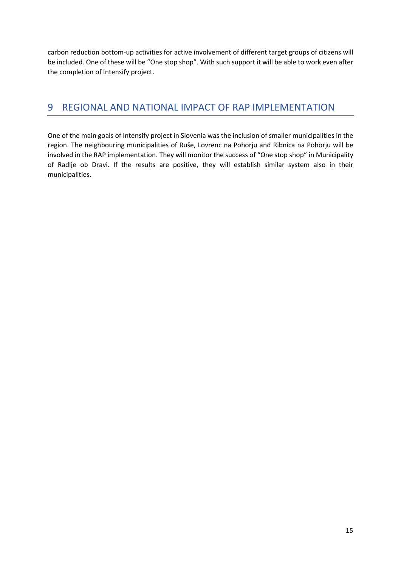carbon reduction bottom-up activities for active involvement of different target groups of citizens will be included. One of these will be "One stop shop". With such support it will be able to work even after the completion of Intensify project.

# <span id="page-15-0"></span>9 REGIONAL AND NATIONAL IMPACT OF RAP IMPLEMENTATION

One of the main goals of Intensify project in Slovenia was the inclusion of smaller municipalities in the region. The neighbouring municipalities of Ruše, Lovrenc na Pohorju and Ribnica na Pohorju will be involved in the RAP implementation. They will monitor the success of "One stop shop" in Municipality of Radlje ob Dravi. If the results are positive, they will establish similar system also in their municipalities.